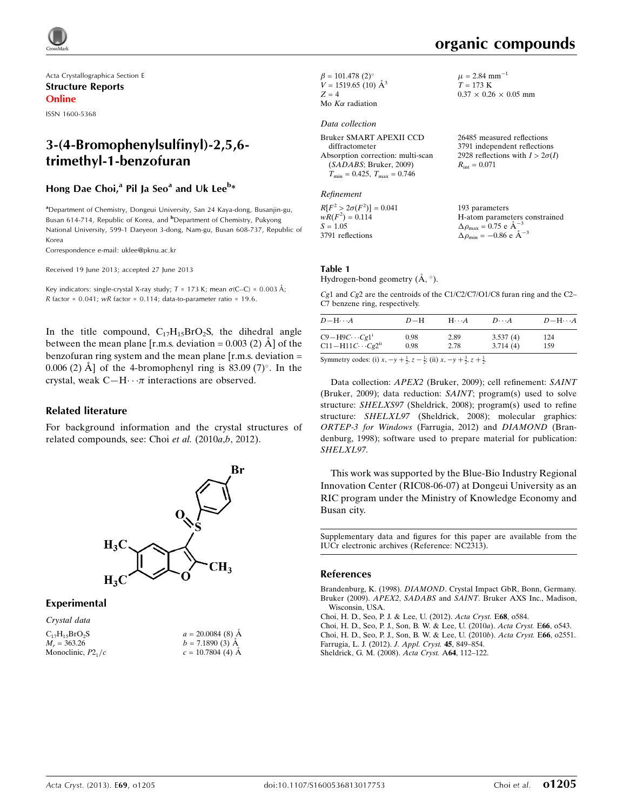

Acta Crystallographica Section E Structure Reports Online

ISSN 1600-5368

# 3-(4-Bromophenylsulfinyl)-2,5,6 trimethyl-1-benzofuran

#### Hong Dae Choi,<sup>a</sup> Pil Ja Seo<sup>a</sup> and Uk Lee<sup>b</sup>\*

<sup>a</sup> Department of Chemistry, Dongeui University, San 24 Kaya-dong, Busanjin-gu, Busan 614-714, Republic of Korea, and <sup>b</sup>Department of Chemistry, Pukyong National University, 599-1 Daeyeon 3-dong, Nam-gu, Busan 608-737, Republic of Korea

Correspondence e-mail: [uklee@pknu.ac.kr](https://scripts.iucr.org/cgi-bin/cr.cgi?rm=pdfbb&cnor=nc2313&bbid=BB7)

Received 19 June 2013; accepted 27 June 2013

Key indicators: single-crystal X-ray study;  $T = 173$  K; mean  $\sigma$ (C–C) = 0.003 Å; R factor =  $0.041$ ; wR factor =  $0.114$ ; data-to-parameter ratio = 19.6.

In the title compound,  $C_{17}H_{15}BrO_2S$ , the dihedral angle between the mean plane  $[r.m.s.$  deviation = 0.003 (2)  $\AA$  of the benzofuran ring system and the mean plane  $[r.m.s.$  deviation  $=$ 0.006 (2) Å] of the 4-bromophenyl ring is  $83.09$  (7)°. In the crystal, weak  $C-H \cdots \pi$  interactions are observed.

#### Related literature

For background information and the crystal structures of related compounds, see: Choi et al.  $(2010a,b, 2012)$ .



 $a = 20.0084(8)$  Å  $b = 7.1890(3)$  Å  $c = 10.7804$  (4)  $\AA$ 

#### Experimental

| Crystal data         |  |
|----------------------|--|
| $C_{17}H_{15}BrO_2S$ |  |
| $M_r = 363.26$       |  |
| Monoclinic, $P21/c$  |  |

 $\beta = 101.478$  (2)<sup>o</sup>  $V = 1519.65$  (10)  $\AA^3$  $Z = 4$ Mo  $K\alpha$  radiation

#### Data collection

Bruker SMART APEXII CCD diffractometer Absorption correction: multi-scan (SADABS; Bruker, 2009)  $T_{\text{min}} = 0.425, T_{\text{max}} = 0.746$ 

Refinement

 $R[F^2 > 2\sigma(F^2)] = 0.041$  $wR(F^2) = 0.114$  $S = 1.05$ 3791 reflections 193 parameters H-atom parameters constrained  $\Delta \rho_{\text{max}} = 0.75 \text{ e A}^{-3}$  $\Delta \rho_{\rm min} = -0.86 \text{ e A}^{-3}$ 

#### Table 1

Hydrogen-bond geometry  $(\AA, \degree)$ .

Cg1 and Cg2 are the centroids of the C1/C2/C7/O1/C8 furan ring and the C2– C7 benzene ring, respectively.

| $D$ $\!-\mathrm{H}\cdots A$       | $D-H$           | $H\cdot\cdot\cdot A$ | $D\cdots A$ | $D - H \cdots A$ |
|-----------------------------------|-----------------|----------------------|-------------|------------------|
| $C9 - H9C \cdots Cg1^i$           | 0.98            | 2.89                 | 3.537(4)    | 124              |
| $C11-H11C\cdots Cg2ii$            | 0.98            | 2.78                 | 3.714(4)    | 159              |
| $\alpha$ $\beta$ $\beta$ $\gamma$ | $\sim$ 1 $\sim$ |                      |             |                  |

Symmetry codes: (i)  $x, -y + \frac{1}{2}, z - \frac{1}{2}$ ; (ii)  $x, -y + \frac{3}{2}, z + \frac{1}{2}$ .

Data collection: APEX2 (Bruker, 2009); cell refinement: SAINT (Bruker, 2009); data reduction: SAINT; program(s) used to solve structure: SHELXS97 (Sheldrick, 2008); program(s) used to refine structure: SHELXL97 (Sheldrick, 2008); molecular graphics: ORTEP-3 for Windows (Farrugia, 2012) and DIAMOND (Brandenburg, 1998); software used to prepare material for publication: SHELXL97.

This work was supported by the Blue-Bio Industry Regional Innovation Center (RIC08-06-07) at Dongeui University as an RIC program under the Ministry of Knowledge Economy and Busan city.

Supplementary data and figures for this paper are available from the IUCr electronic archives (Reference: NC2313).

#### References

Brandenburg, K. (1998). DIAMOND[. Crystal Impact GbR, Bonn, Germany.](https://scripts.iucr.org/cgi-bin/cr.cgi?rm=pdfbb&cnor=nc2313&bbid=BB1) Bruker (2009). APEX2, SADABS and SAINT[. Bruker AXS Inc., Madison,](https://scripts.iucr.org/cgi-bin/cr.cgi?rm=pdfbb&cnor=nc2313&bbid=BB2) [Wisconsin, USA.](https://scripts.iucr.org/cgi-bin/cr.cgi?rm=pdfbb&cnor=nc2313&bbid=BB2)

[Choi, H. D., Seo, P. J. & Lee, U. \(2012\).](https://scripts.iucr.org/cgi-bin/cr.cgi?rm=pdfbb&cnor=nc2313&bbid=BB3) Acta Cryst. E68, o584.

[Choi, H. D., Seo, P. J., Son, B. W. & Lee, U. \(2010](https://scripts.iucr.org/cgi-bin/cr.cgi?rm=pdfbb&cnor=nc2313&bbid=BB4)a). Acta Cryst. E66, o543. [Choi, H. D., Seo, P. J., Son, B. W. & Lee, U. \(2010](https://scripts.iucr.org/cgi-bin/cr.cgi?rm=pdfbb&cnor=nc2313&bbid=BB5)b). Acta Cryst. E66, o2551. [Farrugia, L. J. \(2012\).](https://scripts.iucr.org/cgi-bin/cr.cgi?rm=pdfbb&cnor=nc2313&bbid=BB6) J. Appl. Cryst. 45, 849–854. [Sheldrick, G. M. \(2008\).](https://scripts.iucr.org/cgi-bin/cr.cgi?rm=pdfbb&cnor=nc2313&bbid=BB7) Acta Cryst. A64, 112–122.

 $\mu$  = 2.84 mm<sup>-1</sup>  $T = 173 K$ 

 $R_{\text{int}} = 0.071$ 

 $0.37 \times 0.26 \times 0.05$  mm

26485 measured reflections 3791 independent reflections 2928 reflections with  $I > 2\sigma(I)$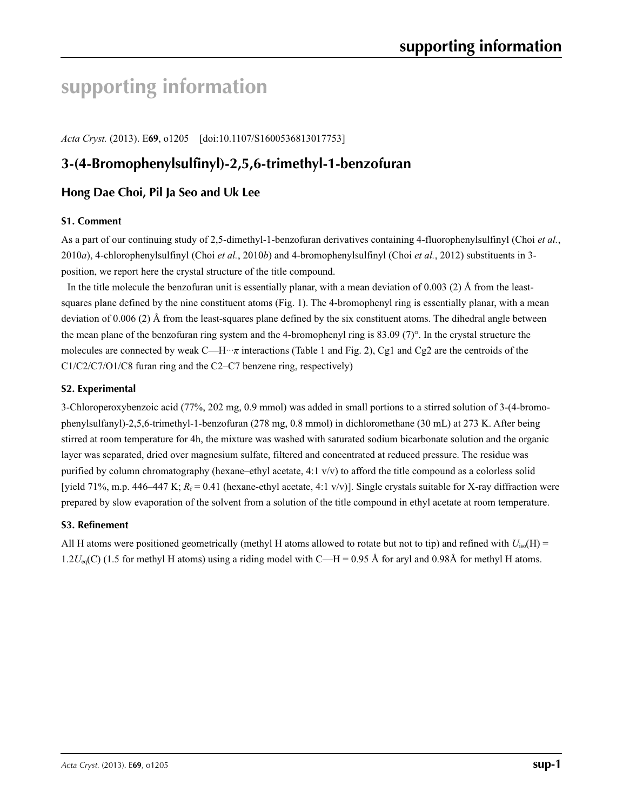# **supporting information**

*Acta Cryst.* (2013). E**69**, o1205 [doi:10.1107/S1600536813017753]

# **3-(4-Bromophenylsulfinyl)-2,5,6-trimethyl-1-benzofuran**

## **Hong Dae Choi, Pil Ja Seo and Uk Lee**

#### **S1. Comment**

As a part of our continuing study of 2,5-dimethyl-1-benzofuran derivatives containing 4-fluorophenylsulfinyl (Choi *et al.*, 2010*a*), 4-chlorophenylsulfinyl (Choi *et al.*, 2010*b*) and 4-bromophenylsulfinyl (Choi *et al.*, 2012) substituents in 3 position, we report here the crystal structure of the title compound.

In the title molecule the benzofuran unit is essentially planar, with a mean deviation of 0.003 (2) Å from the leastsquares plane defined by the nine constituent atoms (Fig. 1). The 4-bromophenyl ring is essentially planar, with a mean deviation of 0.006 (2) Å from the least-squares plane defined by the six constituent atoms. The dihedral angle between the mean plane of the benzofuran ring system and the 4-bromophenyl ring is 83.09 (7)°. In the crystal structure the molecules are connected by weak C—H···*π* interactions (Table 1 and Fig. 2), Cg1 and Cg2 are the centroids of the C1/C2/C7/O1/C8 furan ring and the C2–C7 benzene ring, respectively)

#### **S2. Experimental**

3-Chloroperoxybenzoic acid (77%, 202 mg, 0.9 mmol) was added in small portions to a stirred solution of 3-(4-bromophenylsulfanyl)-2,5,6-trimethyl-1-benzofuran (278 mg, 0.8 mmol) in dichloromethane (30 mL) at 273 K. After being stirred at room temperature for 4h, the mixture was washed with saturated sodium bicarbonate solution and the organic layer was separated, dried over magnesium sulfate, filtered and concentrated at reduced pressure. The residue was purified by column chromatography (hexane–ethyl acetate, 4:1 v/v) to afford the title compound as a colorless solid [yield 71%, m.p. 446–447 K;  $R_f = 0.41$  (hexane-ethyl acetate, 4:1 v/v)]. Single crystals suitable for X-ray diffraction were prepared by slow evaporation of the solvent from a solution of the title compound in ethyl acetate at room temperature.

#### **S3. Refinement**

All H atoms were positioned geometrically (methyl H atoms allowed to rotate but not to tip) and refined with  $U_{iso}(H)$  =  $1.2U_{eq}(C)$  (1.5 for methyl H atoms) using a riding model with C—H = 0.95 Å for aryl and 0.98Å for methyl H atoms.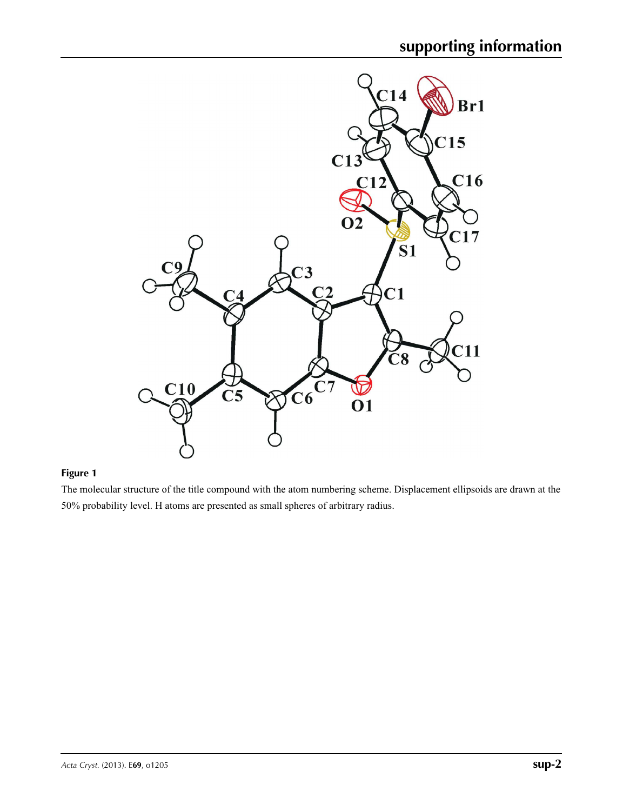

## **Figure 1**

The molecular structure of the title compound with the atom numbering scheme. Displacement ellipsoids are drawn at the 50% probability level. H atoms are presented as small spheres of arbitrary radius.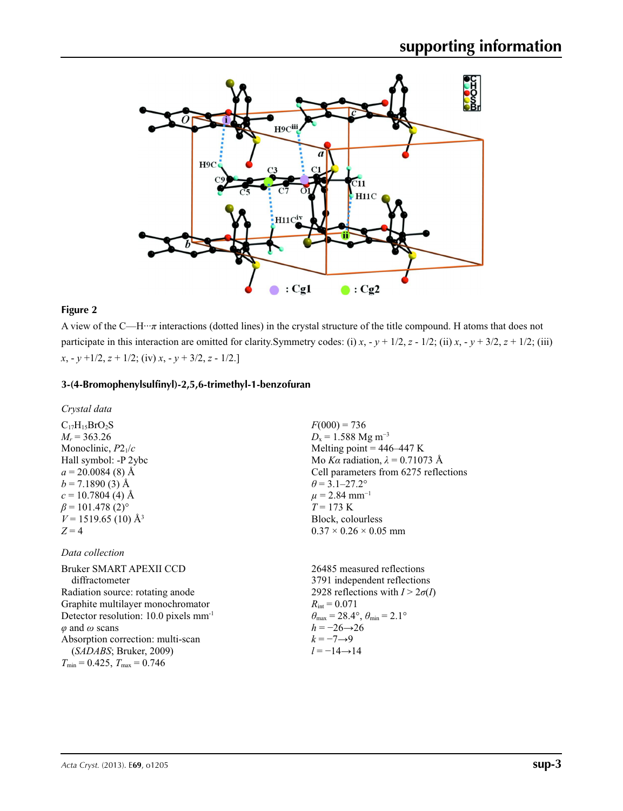

#### **Figure 2**

A view of the C—H $\cdots$ *π* interactions (dotted lines) in the crystal structure of the title compound. H atoms that does not participate in this interaction are omitted for clarity. Symmetry codes: (i)  $x, -y + \frac{1}{2}, z - \frac{1}{2}$ ; (ii)  $x, -y + \frac{3}{2}, z + \frac{1}{2}$ ; (iii) *x*, - *y* +1/2, *z* + 1/2; (iv) *x*, - *y* + 3/2, *z* - 1/2.]

#### **3-(4-Bromophenylsulfinyl)-2,5,6-trimethyl-1-benzofuran**

*Crystal data*

 $C_{17}H_{15}BrO_2S$ *Mr* = 363.26 Monoclinic, *P*21/*c* Hall symbol: -P 2ybc  $a = 20.0084(8)$  Å  $b = 7.1890(3)$  Å  $c = 10.7804$  (4) Å  $\beta$  = 101.478 (2)<sup>o</sup>  $V = 1519.65$  (10) Å<sup>3</sup>  $Z = 4$ 

#### *Data collection*

Bruker SMART APEXII CCD diffractometer Radiation source: rotating anode Graphite multilayer monochromator Detector resolution: 10.0 pixels mm-1 *φ* and *ω* scans Absorption correction: multi-scan (*SADABS*; Bruker, 2009)  $T_{\text{min}} = 0.425, T_{\text{max}} = 0.746$ 

 $F(000) = 736$  $D_x = 1.588$  Mg m<sup>-3</sup> Melting point  $= 446 - 447$  K Mo *Kα* radiation, *λ* = 0.71073 Å Cell parameters from 6275 reflections  $\theta$  = 3.1–27.2°  $\mu$  = 2.84 mm<sup>-1</sup>  $T = 173 \text{ K}$ Block, colourless  $0.37 \times 0.26 \times 0.05$  mm

26485 measured reflections 3791 independent reflections 2928 reflections with  $I > 2\sigma(I)$  $R_{\text{int}} = 0.071$  $\theta_{\text{max}} = 28.4^{\circ}, \theta_{\text{min}} = 2.1^{\circ}$ *h* = −26→26  $k = -7 \rightarrow 9$ *l* = −14→14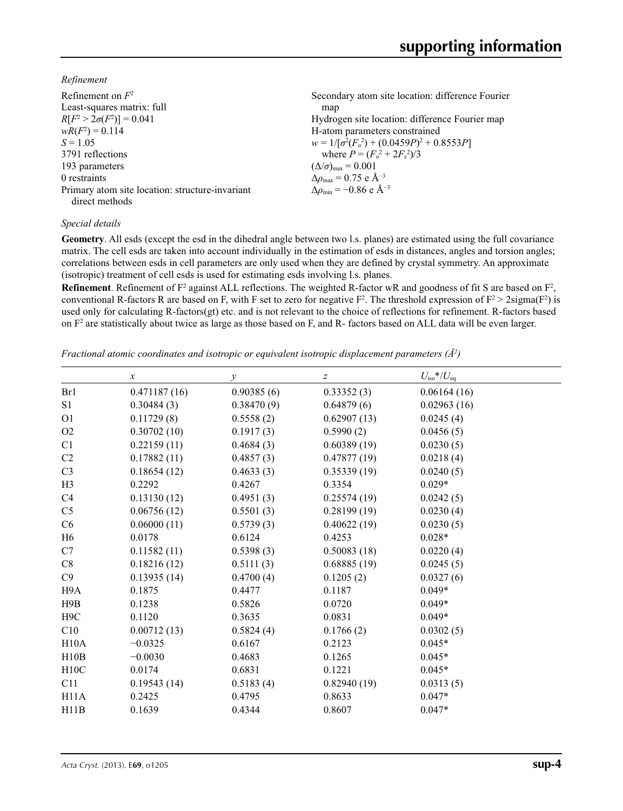*Refinement*

| Refinement on $F^2$                             | Secondary atom site location: difference Fourier  |
|-------------------------------------------------|---------------------------------------------------|
| Least-squares matrix: full                      | map                                               |
| $R[F^2 > 2\sigma(F^2)] = 0.041$                 | Hydrogen site location: difference Fourier map    |
| $wR(F^2) = 0.114$                               | H-atom parameters constrained                     |
| $S = 1.05$                                      | $w = 1/[\sigma^2(F_0^2) + (0.0459P)^2 + 0.8553P]$ |
| 3791 reflections                                | where $P = (F_o^2 + 2F_c^2)/3$                    |
| 193 parameters                                  | $(\Delta/\sigma)_{\text{max}} = 0.001$            |
| 0 restraints                                    | $\Delta\rho_{\rm max} = 0.75$ e Å <sup>-3</sup>   |
| Primary atom site location: structure-invariant | $\Delta \rho_{\rm min} = -0.86$ e Å <sup>-3</sup> |
| direct methods                                  |                                                   |

#### *Special details*

**Geometry**. All esds (except the esd in the dihedral angle between two l.s. planes) are estimated using the full covariance matrix. The cell esds are taken into account individually in the estimation of esds in distances, angles and torsion angles; correlations between esds in cell parameters are only used when they are defined by crystal symmetry. An approximate (isotropic) treatment of cell esds is used for estimating esds involving l.s. planes.

**Refinement**. Refinement of  $F^2$  against ALL reflections. The weighted R-factor wR and goodness of fit S are based on  $F^2$ , conventional R-factors R are based on F, with F set to zero for negative  $F^2$ . The threshold expression of  $F^2 > 2 \text{sigma}(F^2)$  is used only for calculating R-factors(gt) etc. and is not relevant to the choice of reflections for refinement. R-factors based on  $F<sup>2</sup>$  are statistically about twice as large as those based on F, and R- factors based on ALL data will be even larger.

*Fractional atomic coordinates and isotropic or equivalent isotropic displacement parameters (Å<sup>2</sup>)* 

|                  | $\boldsymbol{x}$ |               |                  | $U_{\rm iso}*/U_{\rm eq}$ |  |
|------------------|------------------|---------------|------------------|---------------------------|--|
|                  |                  | $\mathcal{Y}$ | $\boldsymbol{Z}$ |                           |  |
| Br1              | 0.471187(16)     | 0.90385(6)    | 0.33352(3)       | 0.06164(16)               |  |
| S <sub>1</sub>   | 0.30484(3)       | 0.38470(9)    | 0.64879(6)       | 0.02963(16)               |  |
| O <sub>1</sub>   | 0.11729(8)       | 0.5558(2)     | 0.62907(13)      | 0.0245(4)                 |  |
| O2               | 0.30702(10)      | 0.1917(3)     | 0.5990(2)        | 0.0456(5)                 |  |
| C1               | 0.22159(11)      | 0.4684(3)     | 0.60389(19)      | 0.0230(5)                 |  |
| C2               | 0.17882(11)      | 0.4857(3)     | 0.47877(19)      | 0.0218(4)                 |  |
| C <sub>3</sub>   | 0.18654(12)      | 0.4633(3)     | 0.35339(19)      | 0.0240(5)                 |  |
| H <sub>3</sub>   | 0.2292           | 0.4267        | 0.3354           | $0.029*$                  |  |
| C <sub>4</sub>   | 0.13130(12)      | 0.4951(3)     | 0.25574(19)      | 0.0242(5)                 |  |
| C <sub>5</sub>   | 0.06756(12)      | 0.5501(3)     | 0.28199(19)      | 0.0230(4)                 |  |
| C6               | 0.06000(11)      | 0.5739(3)     | 0.40622(19)      | 0.0230(5)                 |  |
| H <sub>6</sub>   | 0.0178           | 0.6124        | 0.4253           | $0.028*$                  |  |
| C7               | 0.11582(11)      | 0.5398(3)     | 0.50083(18)      | 0.0220(4)                 |  |
| C8               | 0.18216(12)      | 0.5111(3)     | 0.68885(19)      | 0.0245(5)                 |  |
| C9               | 0.13935(14)      | 0.4700(4)     | 0.1205(2)        | 0.0327(6)                 |  |
| H9A              | 0.1875           | 0.4477        | 0.1187           | $0.049*$                  |  |
| H9B              | 0.1238           | 0.5826        | 0.0720           | $0.049*$                  |  |
| H <sub>9</sub> C | 0.1120           | 0.3635        | 0.0831           | $0.049*$                  |  |
| C10              | 0.00712(13)      | 0.5824(4)     | 0.1766(2)        | 0.0302(5)                 |  |
| H10A             | $-0.0325$        | 0.6167        | 0.2123           | $0.045*$                  |  |
| H10B             | $-0.0030$        | 0.4683        | 0.1265           | $0.045*$                  |  |
| H10C             | 0.0174           | 0.6831        | 0.1221           | $0.045*$                  |  |
| C11              | 0.19543(14)      | 0.5183(4)     | 0.82940(19)      | 0.0313(5)                 |  |
| H11A             | 0.2425           | 0.4795        | 0.8633           | $0.047*$                  |  |
| H11B             | 0.1639           | 0.4344        | 0.8607           | $0.047*$                  |  |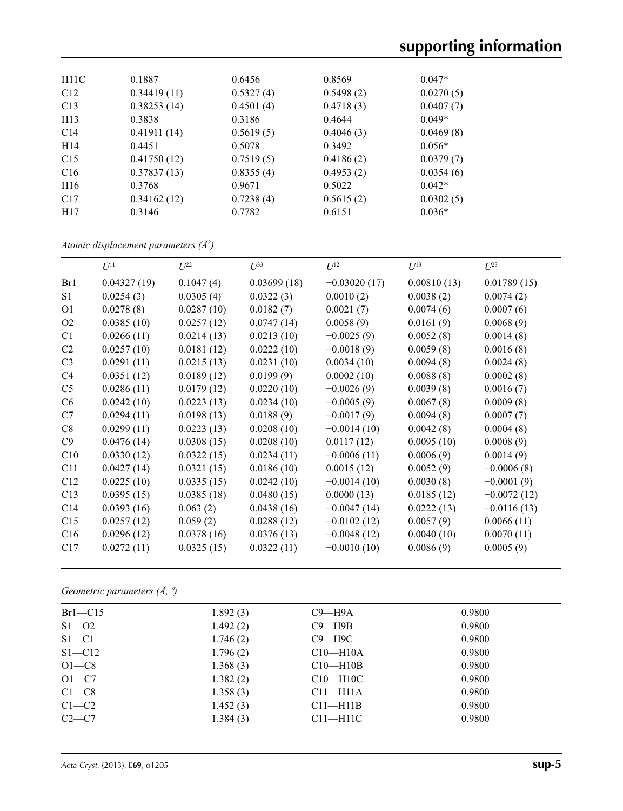| H11C            | 0.1887      | 0.6456    | 0.8569    | $0.047*$  |  |
|-----------------|-------------|-----------|-----------|-----------|--|
| C12             | 0.34419(11) | 0.5327(4) | 0.5498(2) | 0.0270(5) |  |
| C13             | 0.38253(14) | 0.4501(4) | 0.4718(3) | 0.0407(7) |  |
| H <sub>13</sub> | 0.3838      | 0.3186    | 0.4644    | $0.049*$  |  |
| C14             | 0.41911(14) | 0.5619(5) | 0.4046(3) | 0.0469(8) |  |
| H14             | 0.4451      | 0.5078    | 0.3492    | $0.056*$  |  |
| C15             | 0.41750(12) | 0.7519(5) | 0.4186(2) | 0.0379(7) |  |
| C16             | 0.37837(13) | 0.8355(4) | 0.4953(2) | 0.0354(6) |  |
| H <sub>16</sub> | 0.3768      | 0.9671    | 0.5022    | $0.042*$  |  |
| C17             | 0.34162(12) | 0.7238(4) | 0.5615(2) | 0.0302(5) |  |
| H17             | 0.3146      | 0.7782    | 0.6151    | $0.036*$  |  |
|                 |             |           |           |           |  |

*Atomic displacement parameters (Å2 )*

|                | $U^{11}$    | $U^{22}$   | $U^{33}$    | $U^{12}$       | $U^{13}$    | $U^{23}$      |
|----------------|-------------|------------|-------------|----------------|-------------|---------------|
| Br1            | 0.04327(19) | 0.1047(4)  | 0.03699(18) | $-0.03020(17)$ | 0.00810(13) | 0.01789(15)   |
| S <sub>1</sub> | 0.0254(3)   | 0.0305(4)  | 0.0322(3)   | 0.0010(2)      | 0.0038(2)   | 0.0074(2)     |
| O <sub>1</sub> | 0.0278(8)   | 0.0287(10) | 0.0182(7)   | 0.0021(7)      | 0.0074(6)   | 0.0007(6)     |
| O2             | 0.0385(10)  | 0.0257(12) | 0.0747(14)  | 0.0058(9)      | 0.0161(9)   | 0.0068(9)     |
| C1             | 0.0266(11)  | 0.0214(13) | 0.0213(10)  | $-0.0025(9)$   | 0.0052(8)   | 0.0014(8)     |
| C <sub>2</sub> | 0.0257(10)  | 0.0181(12) | 0.0222(10)  | $-0.0018(9)$   | 0.0059(8)   | 0.0016(8)     |
| C <sub>3</sub> | 0.0291(11)  | 0.0215(13) | 0.0231(10)  | 0.0034(10)     | 0.0094(8)   | 0.0024(8)     |
| C4             | 0.0351(12)  | 0.0189(12) | 0.0199(9)   | 0.0002(10)     | 0.0088(8)   | 0.0002(8)     |
| C <sub>5</sub> | 0.0286(11)  | 0.0179(12) | 0.0220(10)  | $-0.0026(9)$   | 0.0039(8)   | 0.0016(7)     |
| C <sub>6</sub> | 0.0242(10)  | 0.0223(13) | 0.0234(10)  | $-0.0005(9)$   | 0.0067(8)   | 0.0009(8)     |
| C7             | 0.0294(11)  | 0.0198(13) | 0.0188(9)   | $-0.0017(9)$   | 0.0094(8)   | 0.0007(7)     |
| C8             | 0.0299(11)  | 0.0223(13) | 0.0208(10)  | $-0.0014(10)$  | 0.0042(8)   | 0.0004(8)     |
| C9             | 0.0476(14)  | 0.0308(15) | 0.0208(10)  | 0.0117(12)     | 0.0095(10)  | 0.0008(9)     |
| C10            | 0.0330(12)  | 0.0322(15) | 0.0234(11)  | $-0.0006(11)$  | 0.0006(9)   | 0.0014(9)     |
| C11            | 0.0427(14)  | 0.0321(15) | 0.0186(10)  | 0.0015(12)     | 0.0052(9)   | $-0.0006(8)$  |
| C12            | 0.0225(10)  | 0.0335(15) | 0.0242(10)  | $-0.0014(10)$  | 0.0030(8)   | $-0.0001(9)$  |
| C13            | 0.0395(15)  | 0.0385(18) | 0.0480(15)  | 0.0000(13)     | 0.0185(12)  | $-0.0072(12)$ |
| C14            | 0.0393(16)  | 0.063(2)   | 0.0438(16)  | $-0.0047(14)$  | 0.0222(13)  | $-0.0116(13)$ |
| C15            | 0.0257(12)  | 0.059(2)   | 0.0288(12)  | $-0.0102(12)$  | 0.0057(9)   | 0.0066(11)    |
| C16            | 0.0296(12)  | 0.0378(16) | 0.0376(13)  | $-0.0048(12)$  | 0.0040(10)  | 0.0070(11)    |
| C17            | 0.0272(11)  | 0.0325(15) | 0.0322(11)  | $-0.0010(10)$  | 0.0086(9)   | 0.0005(9)     |

*Geometric parameters (Å, º)*

| $Br1-C15$  | 1.892(3) | $C9 - H9A$   | 0.9800 |
|------------|----------|--------------|--------|
| $S1 - 02$  | 1.492(2) | $C9 - H9B$   | 0.9800 |
| $S1 - C1$  | 1.746(2) | $C9 - H9C$   | 0.9800 |
| $S1 - C12$ | 1.796(2) | $C10-H10A$   | 0.9800 |
| $O1-C8$    | 1.368(3) | $C10-H10B$   | 0.9800 |
| $O1-C7$    | 1.382(2) | $C10-H10C$   | 0.9800 |
| $C1-C8$    | 1.358(3) | $C11-H11A$   | 0.9800 |
| $C1-C2$    | 1.452(3) | $C11 - H11B$ | 0.9800 |
| $C2-C7$    | 1.384(3) | $C11-H11C$   | 0.9800 |
|            |          |              |        |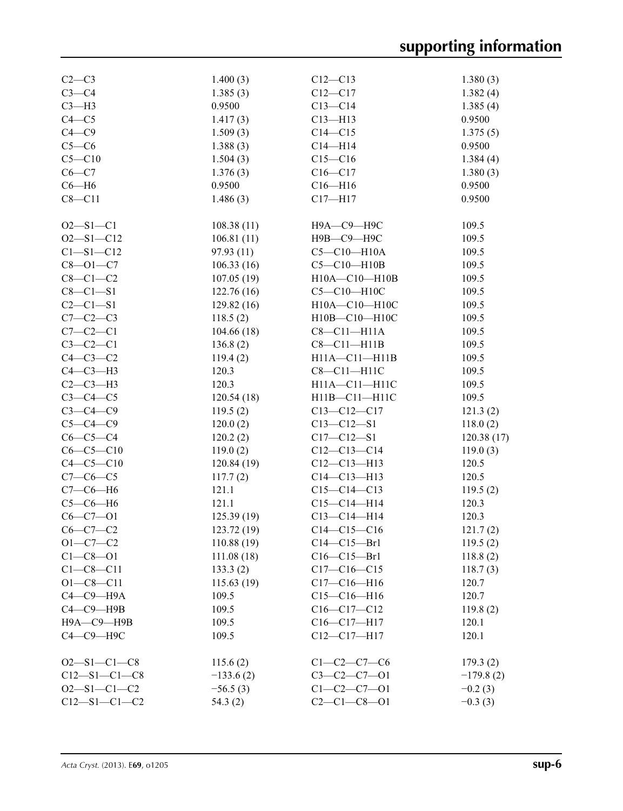| $C2-C3$              | 1.400(3)    | $C12 - C13$         | 1.380(3)    |
|----------------------|-------------|---------------------|-------------|
| $C3-C4$              | 1.385(3)    | $C12 - C17$         | 1.382(4)    |
| $C3-H3$              | 0.9500      | $C13 - C14$         | 1.385(4)    |
| $C4 - C5$            | 1.417(3)    | $C13 - H13$         | 0.9500      |
| $C4 - C9$            | 1.509(3)    | $C14 - C15$         | 1.375(5)    |
| $C5-C6$              | 1.388(3)    | $C14 - H14$         | 0.9500      |
| $C5 - C10$           | 1.504(3)    | $C15 - C16$         | 1.384(4)    |
| $C6 - C7$            | 1.376(3)    | $C16 - C17$         | 1.380(3)    |
| $C6 - H6$            | 0.9500      | $C16 - H16$         | 0.9500      |
| $C8 - C11$           | 1.486(3)    | $C17 - H17$         | 0.9500      |
|                      |             |                     |             |
| $O2 - S1 - C1$       | 108.38(11)  | Н9А—С9—Н9С          | 109.5       |
| $O2 - S1 - C12$      | 106.81(11)  | Н9В-С9-Н9С          | 109.5       |
| $C1 - S1 - C12$      | 97.93(11)   | $C5-C10-H10A$       | 109.5       |
| $C8 - O1 - C7$       | 106.33(16)  | $C5 - C10 - H10B$   | 109.5       |
| $C8-C1-C2$           | 107.05(19)  | $H10A - C10 - H10B$ | 109.5       |
| $C8 - C1 - S1$       | 122.76(16)  | $C5-C10-H10C$       | 109.5       |
| $C2 - C1 - S1$       |             |                     |             |
| $C7-C2-C3$           | 129.82(16)  | H10A-C10-H10C       | 109.5       |
|                      | 118.5(2)    | H10B-C10-H10C       | 109.5       |
| $C7-C2-C1$           | 104.66(18)  | $C8 - C11 - H11A$   | 109.5       |
| $C3-C2-C1$           | 136.8(2)    | $C8-C11-H11B$       | 109.5       |
| $C4-C3-C2$           | 119.4(2)    | $H11A - C11 - H11B$ | 109.5       |
| $C4-C3-H3$           | 120.3       | $C8-C11-H11C$       | 109.5       |
| $C2-C3-H3$           | 120.3       | $H11A - C11 - H11C$ | 109.5       |
| $C3-C4-C5$           | 120.54(18)  | H11B-C11-H11C       | 109.5       |
| $C3-C4-C9$           | 119.5(2)    | $C13 - C12 - C17$   | 121.3(2)    |
| $C5-C4-C9$           | 120.0(2)    | $C13 - C12 - S1$    | 118.0(2)    |
| $C6-C5-C4$           | 120.2(2)    | $C17 - C12 - S1$    | 120.38(17)  |
| $C6-C5-C10$          | 119.0(2)    | $C12-C13-C14$       | 119.0(3)    |
| $C4 - C5 - C10$      | 120.84(19)  | $C12-C13-H13$       | 120.5       |
| $C7-C6-C5$           | 117.7(2)    | $C14 - C13 - H13$   | 120.5       |
| $C7-C6-H6$           | 121.1       | $C15-C14-C13$       | 119.5(2)    |
| $C5-C6-H6$           | 121.1       | $C15 - C14 - H14$   | 120.3       |
| $C6 - C7 - O1$       | 125.39(19)  | $C13 - C14 - H14$   | 120.3       |
| $C6-C7-C2$           | 123.72(19)  | $C14 - C15 - C16$   | 121.7(2)    |
| $O1 - C7 - C2$       | 110.88(19)  | $C14-C15-Br1$       | 119.5(2)    |
| $C1 - C8 - O1$       | 111.08(18)  | $C16 - C15 - Br1$   | 118.8(2)    |
| $C1 - C8 - C11$      | 133.3(2)    | $C17-C16-C15$       | 118.7(3)    |
| $O1 - C8 - C11$      | 115.63(19)  | $C17-C16-H16$       | 120.7       |
| $C4-C9-H9A$          | 109.5       | $C15-C16-H16$       | 120.7       |
| $C4-C9-$ H9B         | 109.5       | $C16-C17-C12$       | 119.8(2)    |
| Н9А-С9-Н9В           | 109.5       | $C16-C17-H17$       | 120.1       |
| С4-С9-Н9С            | 109.5       | $C12-C17-H17$       | 120.1       |
|                      |             |                     |             |
| $O2 - S1 - C1 - C8$  | 115.6(2)    | $C1 - C2 - C7 - C6$ | 179.3(2)    |
| $C12 - S1 - C1 - C8$ | $-133.6(2)$ | $C3-C2-C7-01$       | $-179.8(2)$ |
| $O2 - S1 - C1 - C2$  | $-56.5(3)$  | $C1 - C2 - C7 - 01$ | $-0.2(3)$   |
| $C12 - S1 - C1 - C2$ | 54.3(2)     | $C2 - C1 - C8 - 01$ | $-0.3(3)$   |
|                      |             |                     |             |